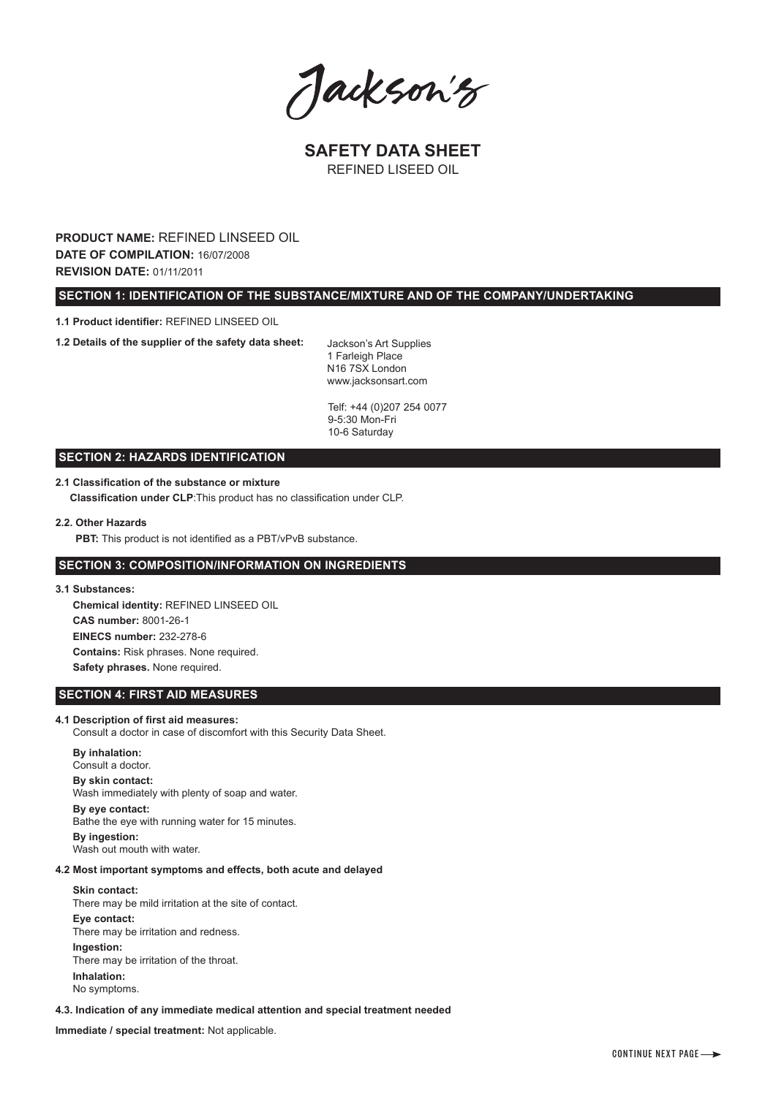Jackson's

**SAFETY DATA SHEET** REFINED LISEED OIL

**PRODUCT NAME:** REFINED LINSEED OIL **DATE OF COMPILATION:** 16/07/2008 **REVISION DATE:** 01/11/2011

 **SECTION 1: IDENTIFICATION OF THE SUBSTANCE/MIXTURE AND OF THE COMPANY/UNDERTAKING**

**1.1 Product identifier:** REFINED LINSEED OIL

**1.2 Details of the supplier of the safety data sheet:**

Jackson's Art Supplies 1 Farleigh Place N16 7SX London www.jacksonsart.com

Telf: +44 (0)207 254 0077 9-5:30 Mon-Fri 10-6 Saturday

## **SECTION 2: HAZARDS IDENTIFICATION**

## **2.1 Classification of the substance or mixture**

 **Classification under CLP**:This product has no classification under CLP.

## **2.2. Other Hazards**

**PBT:** This product is not identified as a PBT/vPvB substance.

# **SECTION 3: COMPOSITION/INFORMATION ON INGREDIENTS**

**3.1 Substances:**

 **Chemical identity:** REFINED LINSEED OIL  **CAS number:** 8001-26-1  **EINECS number:** 232-278-6  **Contains:** Risk phrases. None required.  **Safety phrases.** None required.

## **SECTION 4: FIRST AID MEASURES**

#### **4.1 Description of first aid measures:**

Consult a doctor in case of discomfort with this Security Data Sheet.

## **By inhalation:**  Consult a doctor. **By skin contact:**  Wash immediately with plenty of soap and water. **By eye contact:**

 Bathe the eye with running water for 15 minutes. **By ingestion:**  Wash out mouth with water.

## **4.2 Most important symptoms and effects, both acute and delayed**

#### **Skin contact:**

 There may be mild irritation at the site of contact. **Eye contact:** There may be irritation and redness. **Ingestion:**  There may be irritation of the throat. **Inhalation:**  No symptoms.

**4.3. Indication of any immediate medical attention and special treatment needed**

**Immediate / special treatment:** Not applicable.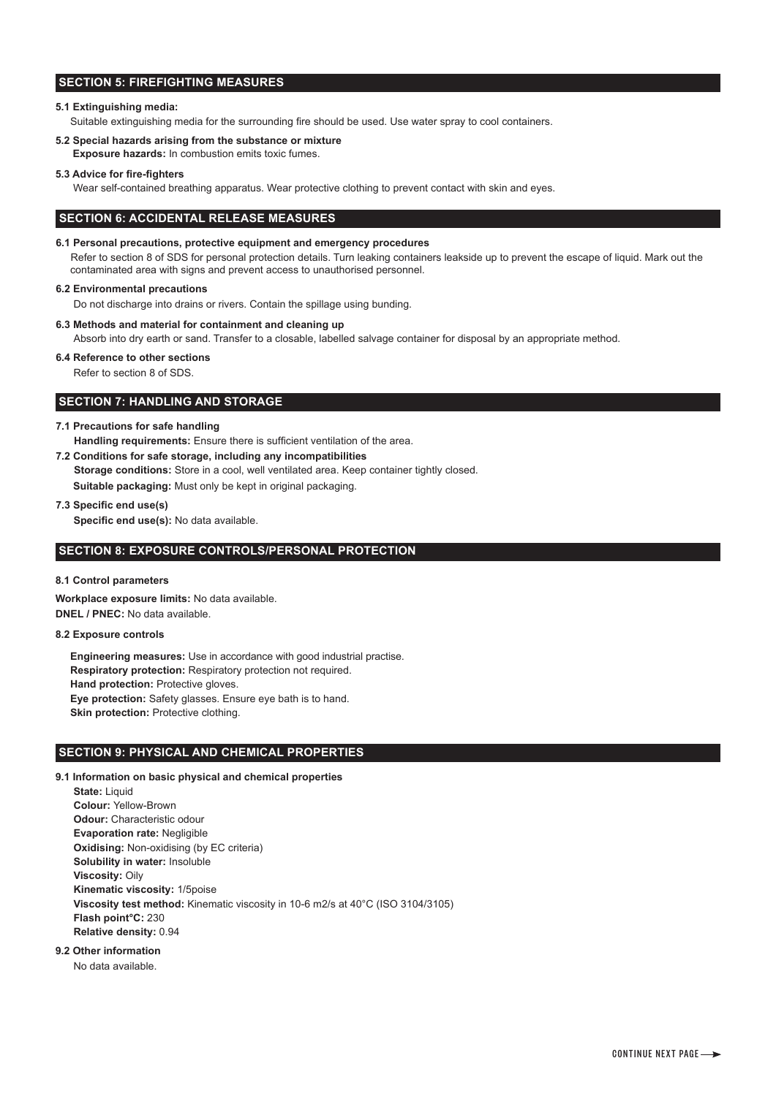# **SECTION 5: FIREFIGHTING MEASURES**

## **5.1 Extinguishing media:**

Suitable extinguishing media for the surrounding fire should be used. Use water spray to cool containers.

**5.2 Special hazards arising from the substance or mixture**

**Exposure hazards:** In combustion emits toxic fumes.

#### **5.3 Advice for fire-fighters**

Wear self-contained breathing apparatus. Wear protective clothing to prevent contact with skin and eyes.

## **SECTION 6: ACCIDENTAL RELEASE MEASURES**

#### **6.1 Personal precautions, protective equipment and emergency procedures**

Refer to section 8 of SDS for personal protection details. Turn leaking containers leakside up to prevent the escape of liquid. Mark out the contaminated area with signs and prevent access to unauthorised personnel.

#### **6.2 Environmental precautions**

Do not discharge into drains or rivers. Contain the spillage using bunding.

**6.3 Methods and material for containment and cleaning up**

Absorb into dry earth or sand. Transfer to a closable, labelled salvage container for disposal by an appropriate method.

#### **6.4 Reference to other sections**

Refer to section 8 of SDS.

## **SECTION 7: HANDLING AND STORAGE**

#### **7.1 Precautions for safe handling**

 **Handling requirements:** Ensure there is sufficient ventilation of the area.

- **7.2 Conditions for safe storage, including any incompatibilities Storage conditions:** Store in a cool, well ventilated area. Keep container tightly closed.  **Suitable packaging:** Must only be kept in original packaging.
- **7.3 Specific end use(s)**

 **Specific end use(s):** No data available.

## **SECTION 8: EXPOSURE CONTROLS/PERSONAL PROTECTION**

#### **8.1 Control parameters**

**Workplace exposure limits:** No data available. **DNEL / PNEC:** No data available.

# **8.2 Exposure controls**

 **Engineering measures:** Use in accordance with good industrial practise.  **Respiratory protection:** Respiratory protection not required.  **Hand protection:** Protective gloves.  **Eye protection:** Safety glasses. Ensure eye bath is to hand. **Skin protection: Protective clothing.** 

#### **SECTION 9: PHYSICAL AND CHEMICAL PROPERTIES**

#### **9.1 Information on basic physical and chemical properties**

 **State:** Liquid  **Colour:** Yellow-Brown  **Odour:** Characteristic odour  **Evaporation rate:** Negligible  **Oxidising:** Non-oxidising (by EC criteria)  **Solubility in water:** Insoluble  **Viscosity:** Oily  **Kinematic viscosity:** 1/5poise  **Viscosity test method:** Kinematic viscosity in 10-6 m2/s at 40°C (ISO 3104/3105)  **Flash point°C:** 230  **Relative density:** 0.94

## **9.2 Other information**

No data available.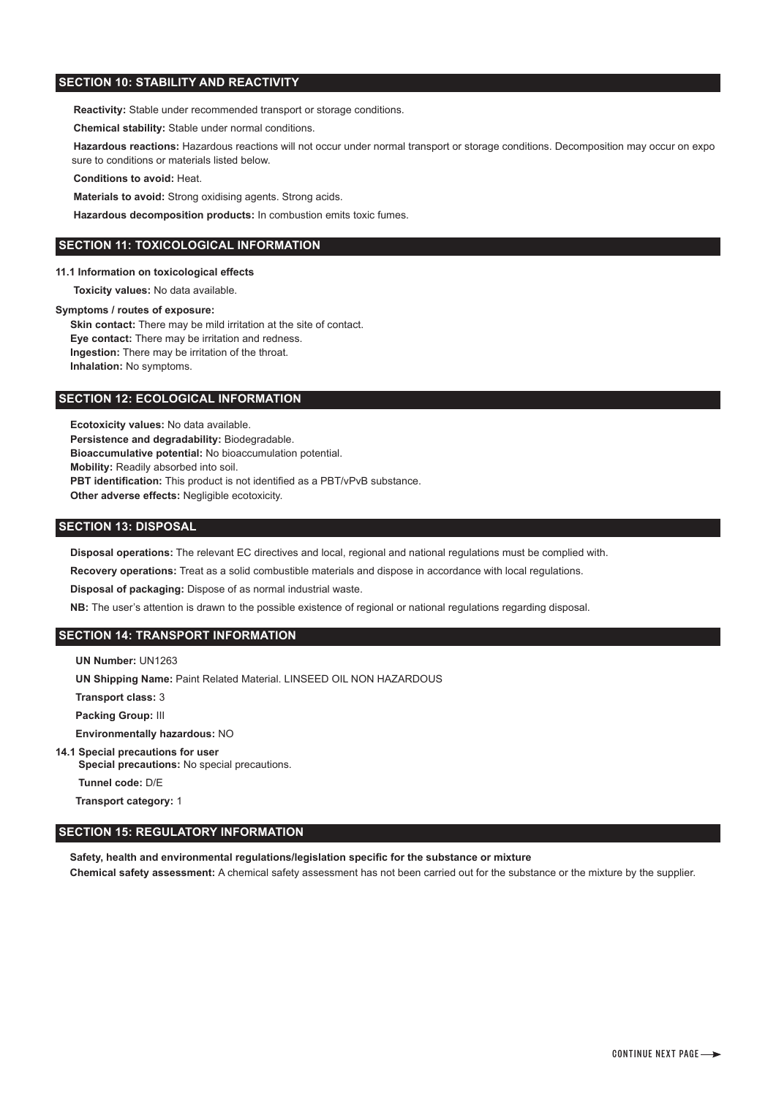# **SECTION 10: STABILITY AND REACTIVITY**

 **Reactivity:** Stable under recommended transport or storage conditions.

 **Chemical stability:** Stable under normal conditions.

 **Hazardous reactions:** Hazardous reactions will not occur under normal transport or storage conditions. Decomposition may occur on expo sure to conditions or materials listed below.

 **Conditions to avoid:** Heat.

 **Materials to avoid:** Strong oxidising agents. Strong acids.

 **Hazardous decomposition products:** In combustion emits toxic fumes.

## **SECTION 11: TOXICOLOGICAL INFORMATION**

**11.1 Information on toxicological effects**

 **Toxicity values:** No data available.

## **Symptoms / routes of exposure:**

**Skin contact:** There may be mild irritation at the site of contact.  **Eye contact:** There may be irritation and redness.  **Ingestion:** There may be irritation of the throat.  **Inhalation:** No symptoms.

## **SECTION 12: ECOLOGICAL INFORMATION**

 **Ecotoxicity values:** No data available.  **Persistence and degradability:** Biodegradable.  **Bioaccumulative potential:** No bioaccumulation potential.  **Mobility:** Readily absorbed into soil. **PBT identification:** This product is not identified as a PBT/vPvB substance.  **Other adverse effects:** Negligible ecotoxicity.

## **SECTION 13: DISPOSAL**

 **Disposal operations:** The relevant EC directives and local, regional and national regulations must be complied with.

 **Recovery operations:** Treat as a solid combustible materials and dispose in accordance with local regulations.

 **Disposal of packaging:** Dispose of as normal industrial waste.

 **NB:** The user's attention is drawn to the possible existence of regional or national regulations regarding disposal.

# **SECTION 14: TRANSPORT INFORMATION**

 **UN Number:** UN1263

 **UN Shipping Name:** Paint Related Material. LINSEED OIL NON HAZARDOUS

 **Transport class:** 3

 **Packing Group:** III

 **Environmentally hazardous:** NO

**14.1 Special precautions for user** 

 **Special precautions:** No special precautions.

 **Tunnel code:** D/E

 **Transport category:** 1

# **SECTION 15: REGULATORY INFORMATION**

 **Safety, health and environmental regulations/legislation specific for the substance or mixture Chemical safety assessment:** A chemical safety assessment has not been carried out for the substance or the mixture by the supplier.